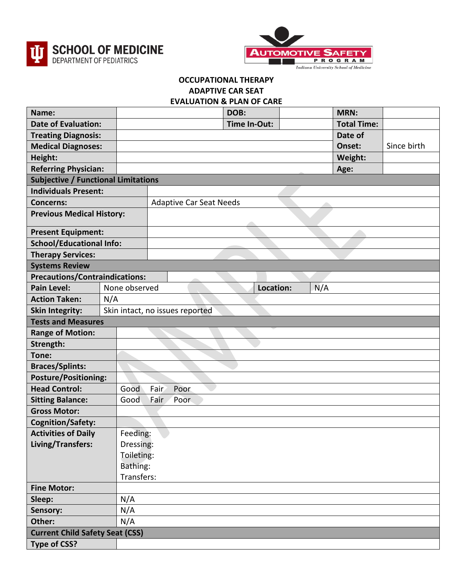



## **OCCUPATIONAL THERAPY ADAPTIVE CAR SEAT**

## **EVALUATION & PLAN OF CARE**

| Name:                                                   |               |                                 | DOB:         |  | <b>MRN:</b>        |             |  |  |
|---------------------------------------------------------|---------------|---------------------------------|--------------|--|--------------------|-------------|--|--|
| <b>Date of Evaluation:</b>                              |               |                                 | Time In-Out: |  | <b>Total Time:</b> |             |  |  |
| <b>Treating Diagnosis:</b>                              |               |                                 |              |  | Date of            |             |  |  |
| <b>Medical Diagnoses:</b>                               |               |                                 |              |  | Onset:             | Since birth |  |  |
| Height:                                                 |               |                                 |              |  | Weight:            |             |  |  |
| <b>Referring Physician:</b>                             |               |                                 |              |  | Age:               |             |  |  |
| <b>Subjective / Functional Limitations</b>              |               |                                 |              |  |                    |             |  |  |
| <b>Individuals Present:</b>                             |               |                                 |              |  |                    |             |  |  |
| <b>Concerns:</b>                                        |               | <b>Adaptive Car Seat Needs</b>  |              |  |                    |             |  |  |
| <b>Previous Medical History:</b>                        |               |                                 |              |  |                    |             |  |  |
| <b>Present Equipment:</b>                               |               |                                 |              |  |                    |             |  |  |
| <b>School/Educational Info:</b>                         |               |                                 |              |  |                    |             |  |  |
| <b>Therapy Services:</b>                                |               |                                 |              |  |                    |             |  |  |
| <b>Systems Review</b>                                   |               |                                 |              |  |                    |             |  |  |
| <b>Precautions/Contraindications:</b>                   |               |                                 |              |  |                    |             |  |  |
| <b>Pain Level:</b>                                      | None observed | Location:<br>N/A                |              |  |                    |             |  |  |
| <b>Action Taken:</b>                                    | N/A           |                                 |              |  |                    |             |  |  |
| <b>Skin Integrity:</b>                                  |               | Skin intact, no issues reported |              |  |                    |             |  |  |
| <b>Tests and Measures</b>                               |               |                                 |              |  |                    |             |  |  |
| <b>Range of Motion:</b>                                 |               |                                 |              |  |                    |             |  |  |
| Strength:                                               |               |                                 |              |  |                    |             |  |  |
| Tone:                                                   |               |                                 |              |  |                    |             |  |  |
| <b>Braces/Splints:</b>                                  |               |                                 |              |  |                    |             |  |  |
| <b>Posture/Positioning:</b>                             |               |                                 |              |  |                    |             |  |  |
| <b>Head Control:</b>                                    | Good          | Fair<br>Poor                    |              |  |                    |             |  |  |
| <b>Sitting Balance:</b>                                 | Good          | Fair<br>Poor                    |              |  |                    |             |  |  |
| <b>Gross Motor:</b>                                     |               |                                 |              |  |                    |             |  |  |
| <b>Cognition/Safety:</b>                                |               |                                 |              |  |                    |             |  |  |
| <b>Activities of Daily</b><br>Feeding:                  |               |                                 |              |  |                    |             |  |  |
| Living/Transfers:                                       |               | Dressing:                       |              |  |                    |             |  |  |
|                                                         |               | Toileting:                      |              |  |                    |             |  |  |
|                                                         |               | Bathing:<br>Transfers:          |              |  |                    |             |  |  |
|                                                         |               |                                 |              |  |                    |             |  |  |
| <b>Fine Motor:</b>                                      |               |                                 |              |  |                    |             |  |  |
|                                                         | N/A<br>Sleep: |                                 |              |  |                    |             |  |  |
| N/A<br>Sensory:                                         |               |                                 |              |  |                    |             |  |  |
| N/A<br>Other:<br><b>Current Child Safety Seat (CSS)</b> |               |                                 |              |  |                    |             |  |  |
|                                                         |               |                                 |              |  |                    |             |  |  |
| <b>Type of CSS?</b>                                     |               |                                 |              |  |                    |             |  |  |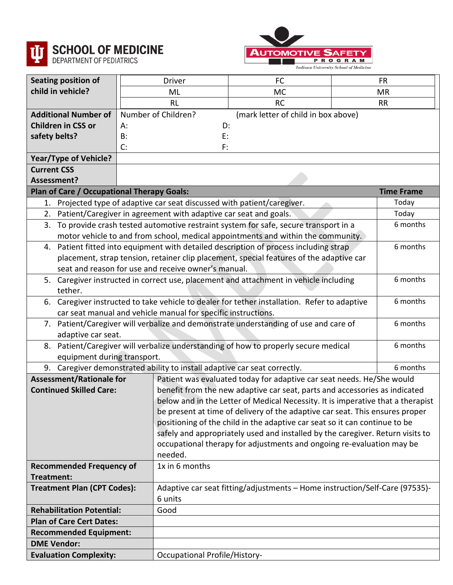



| Seating position of                                                                                                                                   | <b>Driver</b>                                                                                     |                                                                             | <b>FC</b>                                                                           |  | <b>FR</b>         |  |  |
|-------------------------------------------------------------------------------------------------------------------------------------------------------|---------------------------------------------------------------------------------------------------|-----------------------------------------------------------------------------|-------------------------------------------------------------------------------------|--|-------------------|--|--|
| child in vehicle?                                                                                                                                     | ML                                                                                                |                                                                             | MC                                                                                  |  | <b>MR</b>         |  |  |
|                                                                                                                                                       | <b>RL</b>                                                                                         |                                                                             | <b>RC</b>                                                                           |  | <b>RR</b>         |  |  |
| <b>Additional Number of</b>                                                                                                                           | Number of Children?                                                                               |                                                                             | (mark letter of child in box above)                                                 |  |                   |  |  |
| <b>Children in CSS or</b>                                                                                                                             | А:                                                                                                | D:                                                                          |                                                                                     |  |                   |  |  |
| safety belts?                                                                                                                                         | B:                                                                                                | E:                                                                          |                                                                                     |  |                   |  |  |
|                                                                                                                                                       | C:                                                                                                | F:                                                                          |                                                                                     |  |                   |  |  |
| Year/Type of Vehicle?                                                                                                                                 |                                                                                                   |                                                                             |                                                                                     |  |                   |  |  |
| <b>Current CSS</b>                                                                                                                                    |                                                                                                   |                                                                             |                                                                                     |  |                   |  |  |
| Assessment?                                                                                                                                           |                                                                                                   |                                                                             |                                                                                     |  |                   |  |  |
| <b>Plan of Care / Occupational Therapy Goals:</b>                                                                                                     |                                                                                                   |                                                                             |                                                                                     |  | <b>Time Frame</b> |  |  |
|                                                                                                                                                       |                                                                                                   | 1. Projected type of adaptive car seat discussed with patient/caregiver.    |                                                                                     |  | Today             |  |  |
| 2.                                                                                                                                                    |                                                                                                   | Patient/Caregiver in agreement with adaptive car seat and goals.            |                                                                                     |  | Today<br>6 months |  |  |
| 3. To provide crash tested automotive restraint system for safe, secure transport in a                                                                |                                                                                                   |                                                                             |                                                                                     |  |                   |  |  |
|                                                                                                                                                       |                                                                                                   |                                                                             | motor vehicle to and from school, medical appointments and within the community.    |  |                   |  |  |
|                                                                                                                                                       | 6 months<br>4. Patient fitted into equipment with detailed description of process including strap |                                                                             |                                                                                     |  |                   |  |  |
|                                                                                                                                                       | placement, strap tension, retainer clip placement, special features of the adaptive car           |                                                                             |                                                                                     |  |                   |  |  |
|                                                                                                                                                       | seat and reason for use and receive owner's manual.                                               |                                                                             |                                                                                     |  |                   |  |  |
|                                                                                                                                                       | 6 months<br>5. Caregiver instructed in correct use, placement and attachment in vehicle including |                                                                             |                                                                                     |  |                   |  |  |
| tether.                                                                                                                                               |                                                                                                   |                                                                             |                                                                                     |  |                   |  |  |
| 6. Caregiver instructed to take vehicle to dealer for tether installation. Refer to adaptive<br>6 months                                              |                                                                                                   |                                                                             |                                                                                     |  |                   |  |  |
| car seat manual and vehicle manual for specific instructions.<br>7. Patient/Caregiver will verbalize and demonstrate understanding of use and care of |                                                                                                   |                                                                             |                                                                                     |  |                   |  |  |
| adaptive car seat.                                                                                                                                    |                                                                                                   |                                                                             |                                                                                     |  | 6 months          |  |  |
|                                                                                                                                                       |                                                                                                   |                                                                             | 8. Patient/Caregiver will verbalize understanding of how to properly secure medical |  | 6 months          |  |  |
| equipment during transport.                                                                                                                           |                                                                                                   |                                                                             |                                                                                     |  |                   |  |  |
|                                                                                                                                                       |                                                                                                   |                                                                             | 9. Caregiver demonstrated ability to install adaptive car seat correctly.           |  | 6 months          |  |  |
| <b>Assessment/Rationale for</b>                                                                                                                       |                                                                                                   | Patient was evaluated today for adaptive car seat needs. He/She would       |                                                                                     |  |                   |  |  |
| <b>Continued Skilled Care:</b>                                                                                                                        |                                                                                                   |                                                                             | benefit from the new adaptive car seat, parts and accessories as indicated          |  |                   |  |  |
|                                                                                                                                                       |                                                                                                   |                                                                             | below and in the Letter of Medical Necessity. It is imperative that a therapist     |  |                   |  |  |
|                                                                                                                                                       |                                                                                                   |                                                                             | be present at time of delivery of the adaptive car seat. This ensures proper        |  |                   |  |  |
|                                                                                                                                                       |                                                                                                   |                                                                             | positioning of the child in the adaptive car seat so it can continue to be          |  |                   |  |  |
|                                                                                                                                                       |                                                                                                   |                                                                             | safely and appropriately used and installed by the caregiver. Return visits to      |  |                   |  |  |
|                                                                                                                                                       |                                                                                                   |                                                                             | occupational therapy for adjustments and ongoing re-evaluation may be               |  |                   |  |  |
|                                                                                                                                                       | needed.                                                                                           |                                                                             |                                                                                     |  |                   |  |  |
| <b>Recommended Frequency of</b>                                                                                                                       |                                                                                                   | 1x in 6 months                                                              |                                                                                     |  |                   |  |  |
| Treatment:                                                                                                                                            |                                                                                                   |                                                                             |                                                                                     |  |                   |  |  |
| <b>Treatment Plan (CPT Codes):</b>                                                                                                                    |                                                                                                   | Adaptive car seat fitting/adjustments - Home instruction/Self-Care (97535)- |                                                                                     |  |                   |  |  |
|                                                                                                                                                       | 6 units                                                                                           |                                                                             |                                                                                     |  |                   |  |  |
| <b>Rehabilitation Potential:</b>                                                                                                                      | Good                                                                                              |                                                                             |                                                                                     |  |                   |  |  |
| <b>Plan of Care Cert Dates:</b>                                                                                                                       |                                                                                                   |                                                                             |                                                                                     |  |                   |  |  |
| <b>Recommended Equipment:</b>                                                                                                                         |                                                                                                   |                                                                             |                                                                                     |  |                   |  |  |
| <b>DME Vendor:</b>                                                                                                                                    |                                                                                                   |                                                                             |                                                                                     |  |                   |  |  |
| <b>Evaluation Complexity:</b>                                                                                                                         |                                                                                                   | <b>Occupational Profile/History-</b>                                        |                                                                                     |  |                   |  |  |